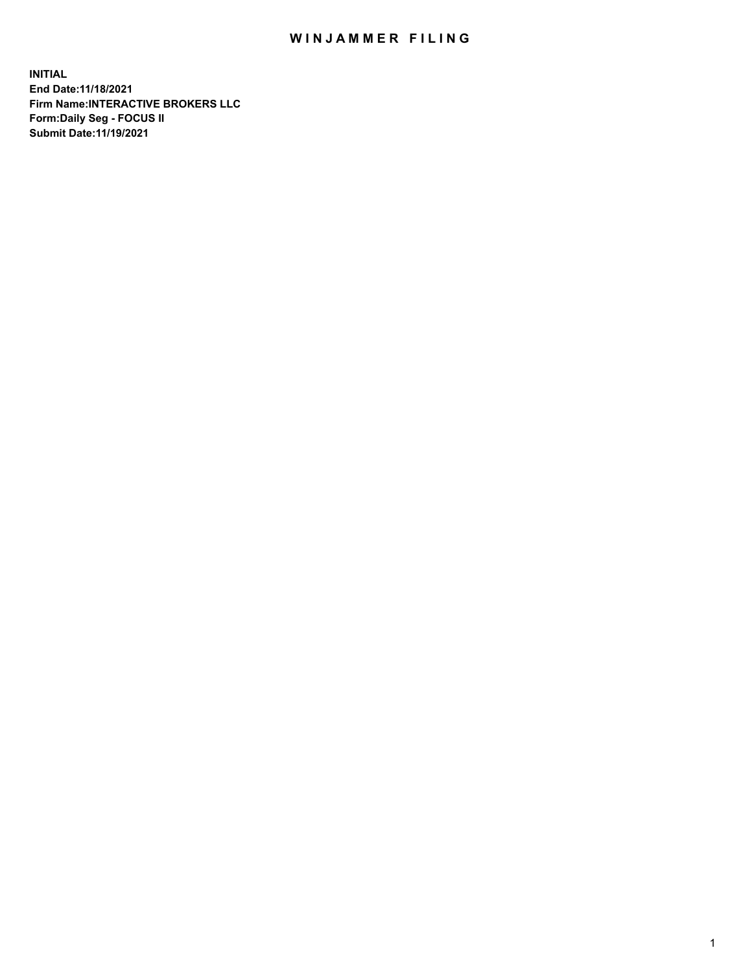## WIN JAMMER FILING

**INITIAL End Date:11/18/2021 Firm Name:INTERACTIVE BROKERS LLC Form:Daily Seg - FOCUS II Submit Date:11/19/2021**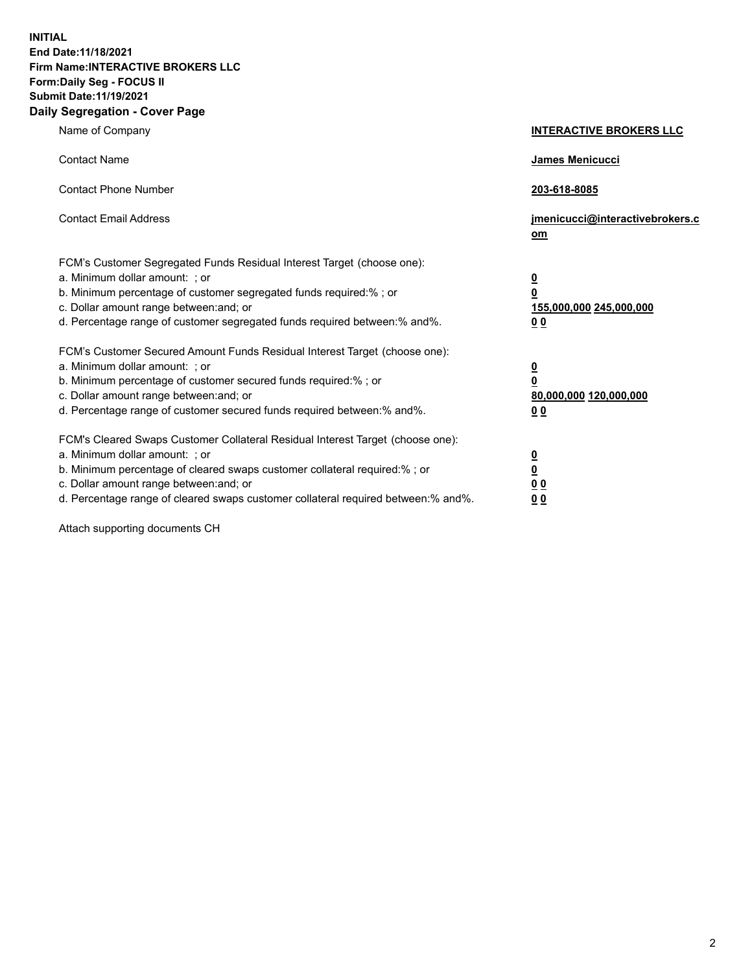**INITIAL End Date:11/18/2021 Firm Name:INTERACTIVE BROKERS LLC Form:Daily Seg - FOCUS II Submit Date:11/19/2021 Daily Segregation - Cover Page**

| Name of Company                                                                                                                                                                                                                                                                                                                | <b>INTERACTIVE BROKERS LLC</b>                                                                           |
|--------------------------------------------------------------------------------------------------------------------------------------------------------------------------------------------------------------------------------------------------------------------------------------------------------------------------------|----------------------------------------------------------------------------------------------------------|
| <b>Contact Name</b>                                                                                                                                                                                                                                                                                                            | James Menicucci                                                                                          |
| <b>Contact Phone Number</b>                                                                                                                                                                                                                                                                                                    | 203-618-8085                                                                                             |
| <b>Contact Email Address</b>                                                                                                                                                                                                                                                                                                   | jmenicucci@interactivebrokers.c<br>om                                                                    |
| FCM's Customer Segregated Funds Residual Interest Target (choose one):<br>a. Minimum dollar amount: ; or<br>b. Minimum percentage of customer segregated funds required:% ; or<br>c. Dollar amount range between: and; or<br>d. Percentage range of customer segregated funds required between:% and%.                         | $\overline{\mathbf{0}}$<br>$\overline{\mathbf{0}}$<br>155,000,000 245,000,000<br>0 <sub>0</sub>          |
| FCM's Customer Secured Amount Funds Residual Interest Target (choose one):<br>a. Minimum dollar amount: ; or<br>b. Minimum percentage of customer secured funds required:%; or<br>c. Dollar amount range between: and; or<br>d. Percentage range of customer secured funds required between:% and%.                            | $\overline{\mathbf{0}}$<br>$\overline{\mathbf{0}}$<br>80,000,000 120,000,000<br>00                       |
| FCM's Cleared Swaps Customer Collateral Residual Interest Target (choose one):<br>a. Minimum dollar amount: ; or<br>b. Minimum percentage of cleared swaps customer collateral required:% ; or<br>c. Dollar amount range between: and; or<br>d. Percentage range of cleared swaps customer collateral required between:% and%. | $\overline{\mathbf{0}}$<br>$\underline{\mathbf{0}}$<br>$\underline{0}$ $\underline{0}$<br>0 <sub>0</sub> |

Attach supporting documents CH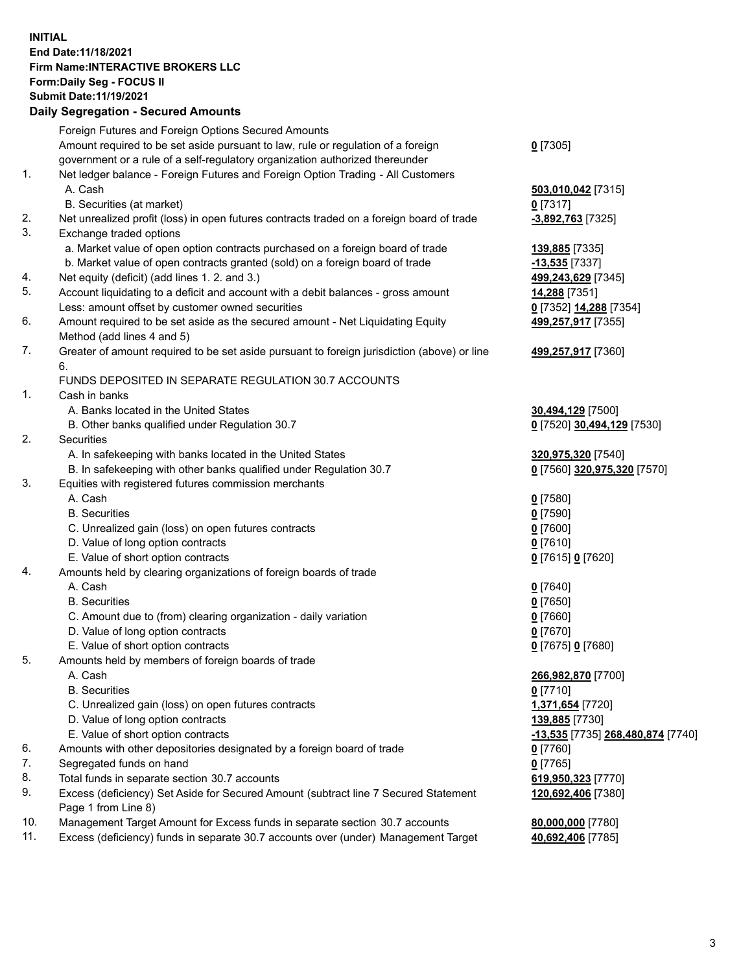## **INITIAL End Date:11/18/2021 Firm Name:INTERACTIVE BROKERS LLC Form:Daily Seg - FOCUS II Submit Date:11/19/2021 Daily Segregation - Secured Amounts**

|                | Daily Ocglegation - Occuled Anioants                                                        |                                   |
|----------------|---------------------------------------------------------------------------------------------|-----------------------------------|
|                | Foreign Futures and Foreign Options Secured Amounts                                         |                                   |
|                | Amount required to be set aside pursuant to law, rule or regulation of a foreign            | $0$ [7305]                        |
|                | government or a rule of a self-regulatory organization authorized thereunder                |                                   |
| $\mathbf{1}$ . | Net ledger balance - Foreign Futures and Foreign Option Trading - All Customers             |                                   |
|                | A. Cash                                                                                     | 503,010,042 [7315]                |
|                | B. Securities (at market)                                                                   | $0$ [7317]                        |
| 2.             | Net unrealized profit (loss) in open futures contracts traded on a foreign board of trade   | -3,892,763 [7325]                 |
| 3.             | Exchange traded options                                                                     |                                   |
|                | a. Market value of open option contracts purchased on a foreign board of trade              | 139,885 [7335]                    |
|                | b. Market value of open contracts granted (sold) on a foreign board of trade                | $-13,535$ [7337]                  |
| 4.             | Net equity (deficit) (add lines 1. 2. and 3.)                                               | 499,243,629 [7345]                |
| 5.             | Account liquidating to a deficit and account with a debit balances - gross amount           | 14,288 [7351]                     |
|                | Less: amount offset by customer owned securities                                            | 0 [7352] 14,288 [7354]            |
| 6.             | Amount required to be set aside as the secured amount - Net Liquidating Equity              | 499,257,917 [7355]                |
|                | Method (add lines 4 and 5)                                                                  |                                   |
| 7.             | Greater of amount required to be set aside pursuant to foreign jurisdiction (above) or line | 499,257,917 [7360]                |
|                | 6.                                                                                          |                                   |
|                | FUNDS DEPOSITED IN SEPARATE REGULATION 30.7 ACCOUNTS                                        |                                   |
| 1.             | Cash in banks                                                                               |                                   |
|                | A. Banks located in the United States                                                       | 30,494,129 [7500]                 |
|                | B. Other banks qualified under Regulation 30.7                                              | 0 [7520] 30,494,129 [7530]        |
| 2.             | Securities                                                                                  |                                   |
|                | A. In safekeeping with banks located in the United States                                   | 320,975,320 [7540]                |
|                | B. In safekeeping with other banks qualified under Regulation 30.7                          | 0 [7560] 320,975,320 [7570]       |
| 3.             | Equities with registered futures commission merchants                                       |                                   |
|                | A. Cash                                                                                     | $0$ [7580]                        |
|                | <b>B.</b> Securities                                                                        | $0$ [7590]                        |
|                | C. Unrealized gain (loss) on open futures contracts                                         | $0$ [7600]                        |
|                | D. Value of long option contracts                                                           | $0$ [7610]                        |
|                | E. Value of short option contracts                                                          | 0 [7615] 0 [7620]                 |
| 4.             | Amounts held by clearing organizations of foreign boards of trade                           |                                   |
|                | A. Cash                                                                                     | $Q$ [7640]                        |
|                | <b>B.</b> Securities                                                                        | $0$ [7650]                        |
|                | C. Amount due to (from) clearing organization - daily variation                             | $0$ [7660]                        |
|                | D. Value of long option contracts                                                           | $0$ [7670]                        |
|                | E. Value of short option contracts                                                          | 0 [7675] 0 [7680]                 |
| 5.             | Amounts held by members of foreign boards of trade                                          |                                   |
|                | A. Cash                                                                                     | 266,982,870 [7700]                |
|                | <b>B.</b> Securities                                                                        | $0$ [7710]                        |
|                | C. Unrealized gain (loss) on open futures contracts                                         | 1,371,654 [7720]                  |
|                | D. Value of long option contracts                                                           | 139,885 [7730]                    |
|                | E. Value of short option contracts                                                          | -13,535 [7735] 268,480,874 [7740] |
| 6.             | Amounts with other depositories designated by a foreign board of trade                      | 0 [7760]                          |
| 7.             | Segregated funds on hand                                                                    | $0$ [7765]                        |
| 8.             | Total funds in separate section 30.7 accounts                                               | 619,950,323 [7770]                |
| 9.             | Excess (deficiency) Set Aside for Secured Amount (subtract line 7 Secured Statement         | 120,692,406 [7380]                |
|                | Page 1 from Line 8)                                                                         |                                   |
| 10.            | Management Target Amount for Excess funds in separate section 30.7 accounts                 | 80,000,000 [7780]                 |
| 11.            | Excess (deficiency) funds in separate 30.7 accounts over (under) Management Target          | 40,692,406 [7785]                 |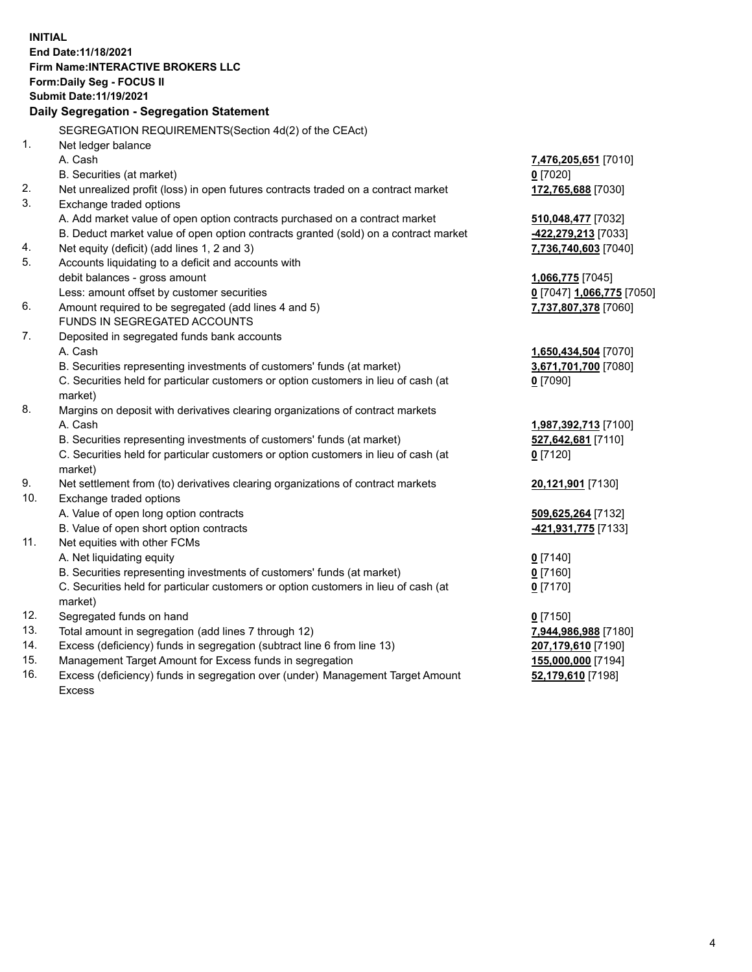**INITIAL End Date:11/18/2021 Firm Name:INTERACTIVE BROKERS LLC Form:Daily Seg - FOCUS II Submit Date:11/19/2021 Daily Segregation - Segregation Statement** SEGREGATION REQUIREMENTS(Section 4d(2) of the CEAct) 1. Net ledger balance A. Cash **7,476,205,651** [7010] B. Securities (at market) **0** [7020] 2. Net unrealized profit (loss) in open futures contracts traded on a contract market **172,765,688** [7030] 3. Exchange traded options A. Add market value of open option contracts purchased on a contract market **510,048,477** [7032] B. Deduct market value of open option contracts granted (sold) on a contract market **-422,279,213** [7033] 4. Net equity (deficit) (add lines 1, 2 and 3) **7,736,740,603** [7040] 5. Accounts liquidating to a deficit and accounts with debit balances - gross amount **1,066,775** [7045] Less: amount offset by customer securities **0** [7047] **1,066,775** [7050] 6. Amount required to be segregated (add lines 4 and 5) **7,737,807,378** [7060] FUNDS IN SEGREGATED ACCOUNTS 7. Deposited in segregated funds bank accounts A. Cash **1,650,434,504** [7070] B. Securities representing investments of customers' funds (at market) **3,671,701,700** [7080] C. Securities held for particular customers or option customers in lieu of cash (at market) **0** [7090] 8. Margins on deposit with derivatives clearing organizations of contract markets A. Cash **1,987,392,713** [7100] B. Securities representing investments of customers' funds (at market) **527,642,681** [7110] C. Securities held for particular customers or option customers in lieu of cash (at market) **0** [7120] 9. Net settlement from (to) derivatives clearing organizations of contract markets **20,121,901** [7130] 10. Exchange traded options A. Value of open long option contracts **509,625,264** [7132] B. Value of open short option contracts **-421,931,775** [7133] 11. Net equities with other FCMs A. Net liquidating equity **0** [7140] B. Securities representing investments of customers' funds (at market) **0** [7160] C. Securities held for particular customers or option customers in lieu of cash (at market) **0** [7170] 12. Segregated funds on hand **0** [7150] 13. Total amount in segregation (add lines 7 through 12) **7,944,986,988** [7180] 14. Excess (deficiency) funds in segregation (subtract line 6 from line 13) **207,179,610** [7190] 15. Management Target Amount for Excess funds in segregation **155,000,000** [7194] 16. Excess (deficiency) funds in segregation over (under) Management Target Amount **52,179,610** [7198]

Excess